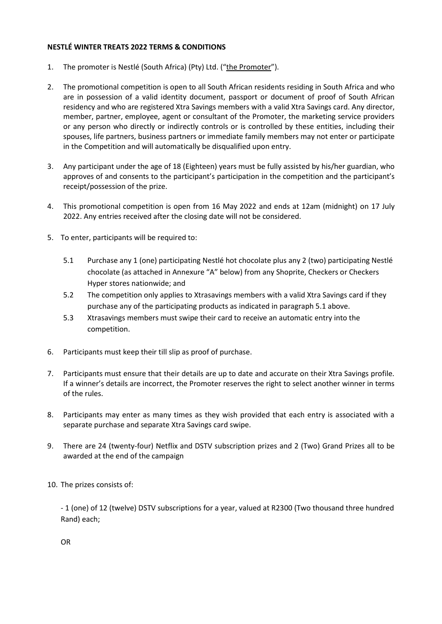## **NESTLÉ WINTER TREATS 2022 TERMS & CONDITIONS**

- 1. The promoter is Nestlé (South Africa) (Pty) Ltd. ("the Promoter").
- 2. The promotional competition is open to all South African residents residing in South Africa and who are in possession of a valid identity document, passport or document of proof of South African residency and who are registered Xtra Savings members with a valid Xtra Savings card. Any director, member, partner, employee, agent or consultant of the Promoter, the marketing service providers or any person who directly or indirectly controls or is controlled by these entities, including their spouses, life partners, business partners or immediate family members may not enter or participate in the Competition and will automatically be disqualified upon entry.
- 3. Any participant under the age of 18 (Eighteen) years must be fully assisted by his/her guardian, who approves of and consents to the participant's participation in the competition and the participant's receipt/possession of the prize.
- 4. This promotional competition is open from 16 May 2022 and ends at 12am (midnight) on 17 July 2022. Any entries received after the closing date will not be considered.
- 5. To enter, participants will be required to:
	- 5.1 Purchase any 1 (one) participating Nestlé hot chocolate plus any 2 (two) participating Nestlé chocolate (as attached in Annexure "A" below) from any Shoprite, Checkers or Checkers Hyper stores nationwide; and
	- 5.2 The competition only applies to Xtrasavings members with a valid Xtra Savings card if they purchase any of the participating products as indicated in paragraph 5.1 above.
	- 5.3 Xtrasavings members must swipe their card to receive an automatic entry into the competition.
- 6. Participants must keep their till slip as proof of purchase.
- 7. Participants must ensure that their details are up to date and accurate on their Xtra Savings profile. If a winner's details are incorrect, the Promoter reserves the right to select another winner in terms of the rules.
- 8. Participants may enter as many times as they wish provided that each entry is associated with a separate purchase and separate Xtra Savings card swipe.
- 9. There are 24 (twenty-four) Netflix and DSTV subscription prizes and 2 (Two) Grand Prizes all to be awarded at the end of the campaign
- 10. The prizes consists of:

- 1 (one) of 12 (twelve) DSTV subscriptions for a year, valued at R2300 (Two thousand three hundred Rand) each;

OR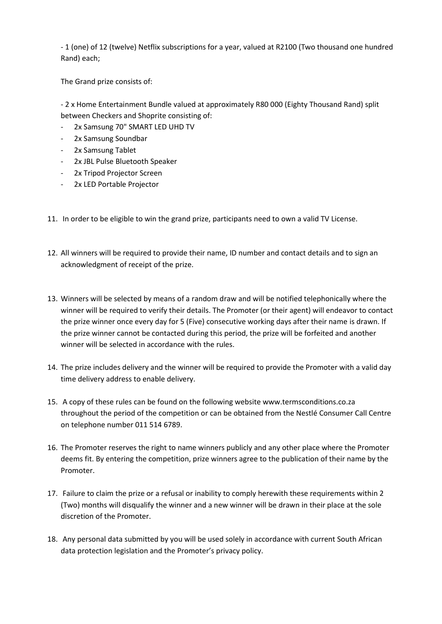- 1 (one) of 12 (twelve) Netflix subscriptions for a year, valued at R2100 (Two thousand one hundred Rand) each;

The Grand prize consists of:

- 2 x Home Entertainment Bundle valued at approximately R80 000 (Eighty Thousand Rand) split between Checkers and Shoprite consisting of:

- 2x Samsung 70" SMART LED UHD TV
- 2x Samsung Soundbar
- 2x Samsung Tablet
- 2x JBL Pulse Bluetooth Speaker
- 2x Tripod Projector Screen
- 2x LED Portable Projector
- 11. In order to be eligible to win the grand prize, participants need to own a valid TV License.
- 12. All winners will be required to provide their name, ID number and contact details and to sign an acknowledgment of receipt of the prize.
- 13. Winners will be selected by means of a random draw and will be notified telephonically where the winner will be required to verify their details. The Promoter (or their agent) will endeavor to contact the prize winner once every day for 5 (Five) consecutive working days after their name is drawn. If the prize winner cannot be contacted during this period, the prize will be forfeited and another winner will be selected in accordance with the rules.
- 14. The prize includes delivery and the winner will be required to provide the Promoter with a valid day time delivery address to enable delivery.
- 15. A copy of these rules can be found on the following website www.termsconditions.co.za throughout the period of the competition or can be obtained from the Nestlé Consumer Call Centre on telephone number 011 514 6789.
- 16. The Promoter reserves the right to name winners publicly and any other place where the Promoter deems fit. By entering the competition, prize winners agree to the publication of their name by the Promoter.
- 17. Failure to claim the prize or a refusal or inability to comply herewith these requirements within 2 (Two) months will disqualify the winner and a new winner will be drawn in their place at the sole discretion of the Promoter.
- 18. Any personal data submitted by you will be used solely in accordance with current South African data protection legislation and the Promoter's privacy policy.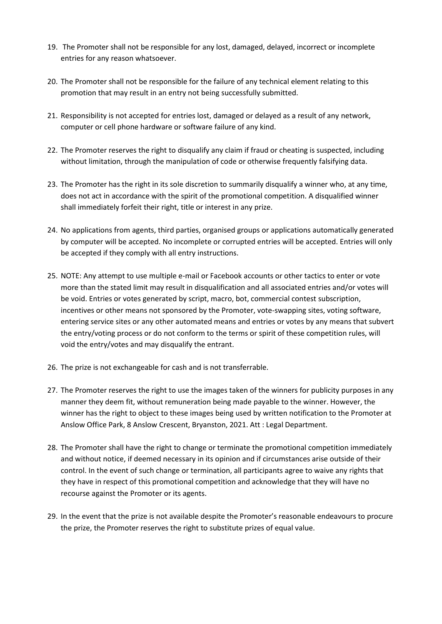- 19. The Promoter shall not be responsible for any lost, damaged, delayed, incorrect or incomplete entries for any reason whatsoever.
- 20. The Promoter shall not be responsible for the failure of any technical element relating to this promotion that may result in an entry not being successfully submitted.
- 21. Responsibility is not accepted for entries lost, damaged or delayed as a result of any network, computer or cell phone hardware or software failure of any kind.
- 22. The Promoter reserves the right to disqualify any claim if fraud or cheating is suspected, including without limitation, through the manipulation of code or otherwise frequently falsifying data.
- 23. The Promoter has the right in its sole discretion to summarily disqualify a winner who, at any time, does not act in accordance with the spirit of the promotional competition. A disqualified winner shall immediately forfeit their right, title or interest in any prize.
- 24. No applications from agents, third parties, organised groups or applications automatically generated by computer will be accepted. No incomplete or corrupted entries will be accepted. Entries will only be accepted if they comply with all entry instructions.
- 25. NOTE: Any attempt to use multiple e-mail or Facebook accounts or other tactics to enter or vote more than the stated limit may result in disqualification and all associated entries and/or votes will be void. Entries or votes generated by script, macro, bot, commercial contest subscription, incentives or other means not sponsored by the Promoter, vote-swapping sites, voting software, entering service sites or any other automated means and entries or votes by any means that subvert the entry/voting process or do not conform to the terms or spirit of these competition rules, will void the entry/votes and may disqualify the entrant.
- 26. The prize is not exchangeable for cash and is not transferrable.
- 27. The Promoter reserves the right to use the images taken of the winners for publicity purposes in any manner they deem fit, without remuneration being made payable to the winner. However, the winner has the right to object to these images being used by written notification to the Promoter at Anslow Office Park, 8 Anslow Crescent, Bryanston, 2021. Att : Legal Department.
- 28. The Promoter shall have the right to change or terminate the promotional competition immediately and without notice, if deemed necessary in its opinion and if circumstances arise outside of their control. In the event of such change or termination, all participants agree to waive any rights that they have in respect of this promotional competition and acknowledge that they will have no recourse against the Promoter or its agents.
- 29. In the event that the prize is not available despite the Promoter's reasonable endeavours to procure the prize, the Promoter reserves the right to substitute prizes of equal value.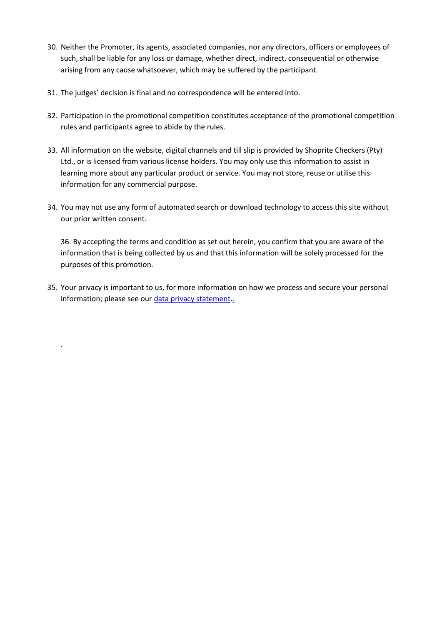- 30. Neither the Promoter, its agents, associated companies, nor any directors, officers or employees of such, shall be liable for any loss or damage, whether direct, indirect, consequential or otherwise arising from any cause whatsoever, which may be suffered by the participant.
- 31. The judges' decision is final and no correspondence will be entered into.

.

- 32. Participation in the promotional competition constitutes acceptance of the promotional competition rules and participants agree to abide by the rules.
- 33. All information on the website, digital channels and till slip is provided by Shoprite Checkers (Pty) Ltd., or is licensed from various license holders. You may only use this information to assist in learning more about any particular product or service. You may not store, reuse or utilise this information for any commercial purpose.
- 34. You may not use any form of automated search or download technology to access this site without our prior written consent.

36. By accepting the terms and condition as set out herein, you confirm that you are aware of the information that is being collected by us and that this information will be solely processed for the purposes of this promotion.

35. Your privacy is important to us, for more information on how we process and secure your personal information; please see our [data privacy statement.](https://www.shoprite.co.za/privacyPolicy).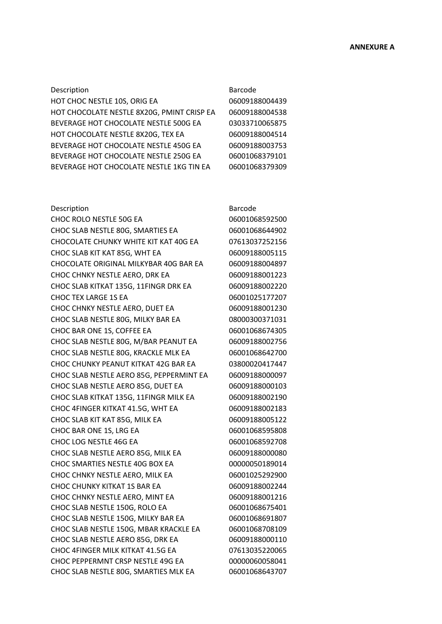## Description **Barcode**

HOT CHOC NESTLE 10S, ORIG EA 06009188004439 HOT CHOCOLATE NESTLE 8X20G, PMINT CRISP EA 06009188004538 BEVERAGE HOT CHOCOLATE NESTLE 500G EA 03033710065875 HOT CHOCOLATE NESTLE 8X20G, TEX EA 06009188004514 BEVERAGE HOT CHOCOLATE NESTLE 450G EA 06009188003753 BEVERAGE HOT CHOCOLATE NESTLE 250G EA 06001068379101 BEVERAGE HOT CHOCOLATE NESTLE 1KG TIN EA 06001068379309

## Description **Barcode**

CHOC ROLO NESTLE 50G EA 06001068592500 CHOC SLAB NESTLE 80G, SMARTIES EA 06001068644902 CHOCOLATE CHUNKY WHITE KIT KAT 40G EA 07613037252156 CHOC SLAB KIT KAT 85G, WHT EA 06009188005115 CHOCOLATE ORIGINAL MILKYBAR 40G BAR EA 06009188004897 CHOC CHNKY NESTLE AERO, DRK EA 06009188001223 CHOC SLAB KITKAT 135G, 11FINGR DRK EA 06009188002220 CHOC TEX LARGE 1S EA 06001025177207 CHOC CHNKY NESTLE AERO, DUET EA 06009188001230 CHOC SLAB NESTLE 80G, MILKY BAR EA 08000300371031 CHOC BAR ONE 1S, COFFEE EA 06001068674305 CHOC SLAB NESTLE 80G, M/BAR PEANUT EA 06009188002756 CHOC SLAB NESTLE 80G, KRACKLE MLK EA 06001068642700 CHOC CHUNKY PEANUT KITKAT 42G BAR EA 03800020417447 CHOC SLAB NESTLE AERO 85G, PEPPERMINT EA 06009188000097 CHOC SLAB NESTLE AERO 85G, DUET EA 06009188000103 CHOC SLAB KITKAT 135G, 11FINGR MILK EA 06009188002190 CHOC 4FINGER KITKAT 41.5G, WHT EA 06009188002183 CHOC SLAB KIT KAT 85G, MILK EA 06009188005122 CHOC BAR ONE 1S, LRG EA 06001068595808 CHOC LOG NESTLE 46G EA 06001068592708 CHOC SLAB NESTLE AERO 85G, MILK EA 06009188000080 CHOC SMARTIES NESTLE 40G BOX EA 00000050189014 CHOC CHNKY NESTLE AERO, MILK EA 06001025292900 CHOC CHUNKY KITKAT 1S BAR EA 06009188002244 CHOC CHNKY NESTLE AERO, MINT EA 06009188001216 CHOC SLAB NESTLE 150G, ROLO EA 06001068675401 CHOC SLAB NESTLE 150G, MILKY BAR EA 06001068691807 CHOC SLAB NESTLE 150G, MBAR KRACKLE EA 06001068708109 CHOC SLAB NESTLE AERO 85G, DRK EA 06009188000110 CHOC 4FINGER MILK KITKAT 41.5G EA 07613035220065 CHOC PEPPERMNT CRSP NESTLE 49G EA 00000060058041 CHOC SLAB NESTLE 80G, SMARTIES MLK EA 06001068643707